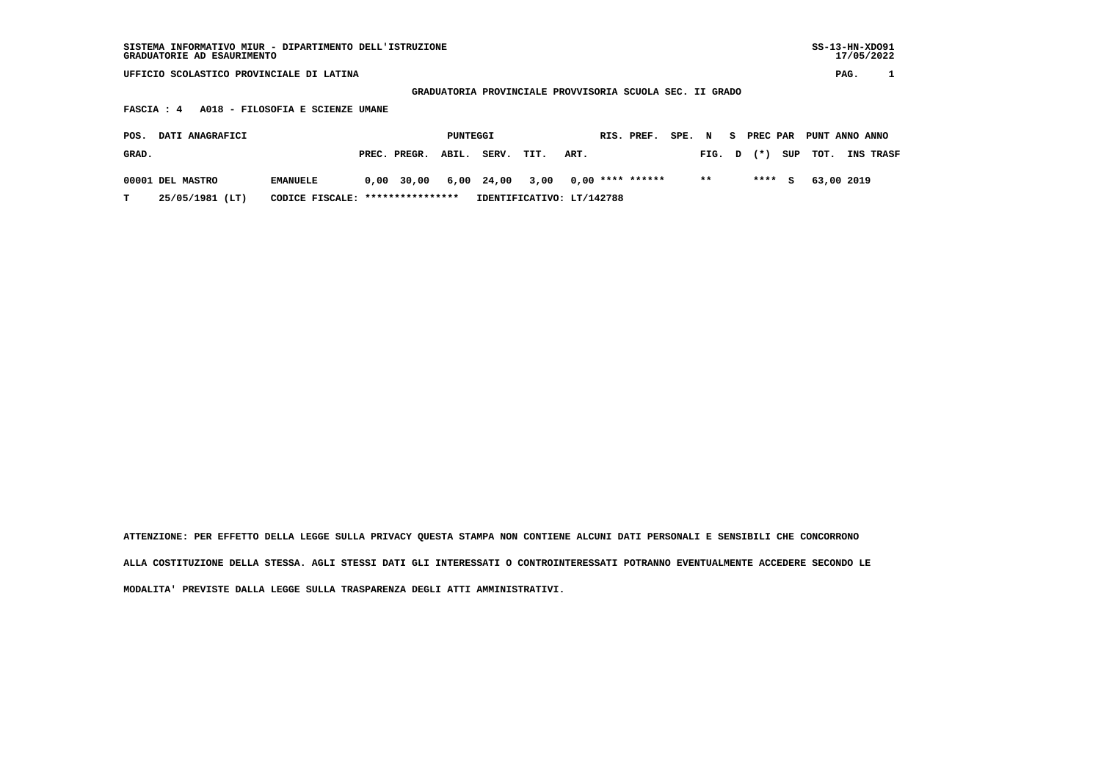**GRADUATORIA PROVINCIALE PROVVISORIA SCUOLA SEC. II GRADO**

 **FASCIA : 4 A018 - FILOSOFIA E SCIENZE UMANE**

| POS.  | <b>DATI ANAGRAFICI</b> |                                  |                    | PUNTEGGI |            |                                               |      | RIS. PREF. | SPE. N |                |  | S PREC PAR PUNT ANNO ANNO |                  |
|-------|------------------------|----------------------------------|--------------------|----------|------------|-----------------------------------------------|------|------------|--------|----------------|--|---------------------------|------------------|
| GRAD. |                        |                                  | PREC. PREGR. ABIL. |          | SERV. TIT. |                                               | ART. |            |        | FIG. D (*) SUP |  | тот.                      | <b>INS TRASF</b> |
|       | 00001 DEL MASTRO       | <b>EMANUELE</b>                  |                    |          |            | $0,00$ 30,00 6,00 24,00 3,00 0,00 **** ****** |      |            |        | $***$          |  | **** S 63,00 2019         |                  |
|       | 25/05/1981 (LT)        | CODICE FISCALE: **************** |                    |          |            | IDENTIFICATIVO: LT/142788                     |      |            |        |                |  |                           |                  |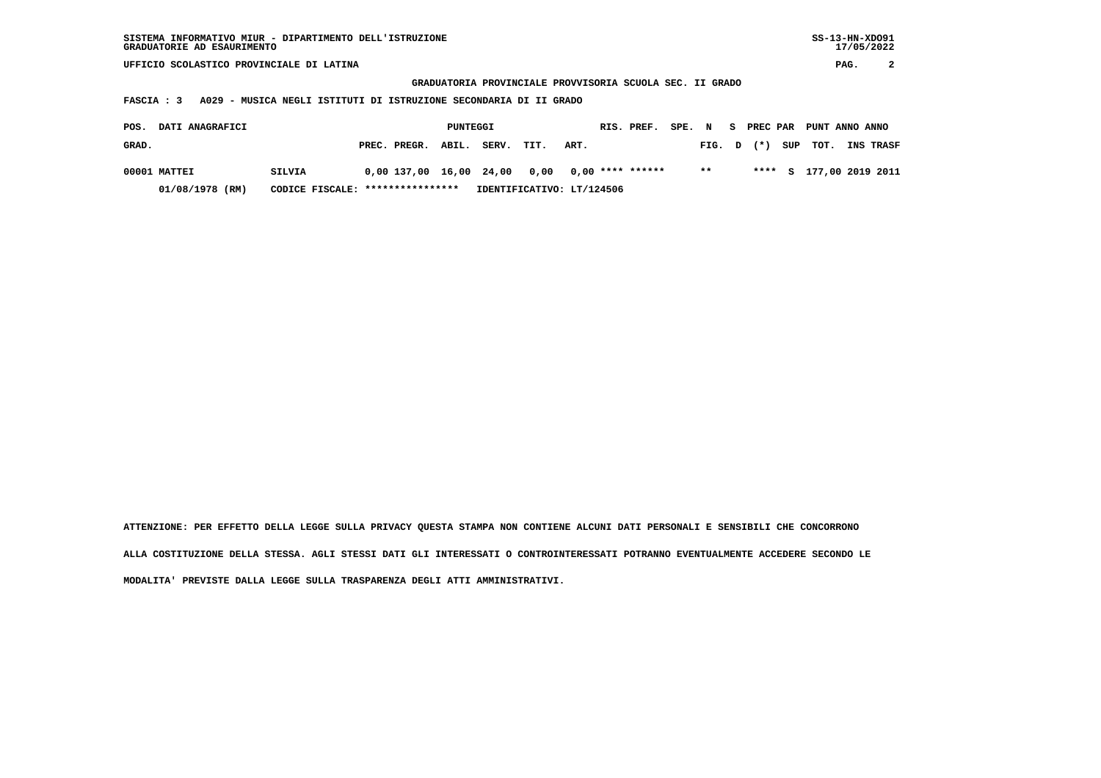**GRADUATORIA PROVINCIALE PROVVISORIA SCUOLA SEC. II GRADO**

 **FASCIA : 3 A029 - MUSICA NEGLI ISTITUTI DI ISTRUZIONE SECONDARIA DI II GRADO**

| POS.  | <b>DATI ANAGRAFICI</b> |                                  |                                                 | PUNTEGGI |                           |      |      | RIS. PREF. | SPE. N |                    | S PREC PAR | PUNT ANNO ANNO |                         |
|-------|------------------------|----------------------------------|-------------------------------------------------|----------|---------------------------|------|------|------------|--------|--------------------|------------|----------------|-------------------------|
| GRAD. |                        |                                  | PREC. PREGR. ABIL.                              |          | SERV.                     | TIT. | ART. |            |        | FIG. $D$ $(*)$ SUP |            | тот.           | <b>INS TRASF</b>        |
|       | 00001 MATTEI           | SILVIA                           | $0,00$ 137,00 16,00 24,00 0,00 0,00 **** ****** |          |                           |      |      |            |        | $* *$              |            |                | **** S 177,00 2019 2011 |
|       | 01/08/1978 (RM)        | CODICE FISCALE: **************** |                                                 |          | IDENTIFICATIVO: LT/124506 |      |      |            |        |                    |            |                |                         |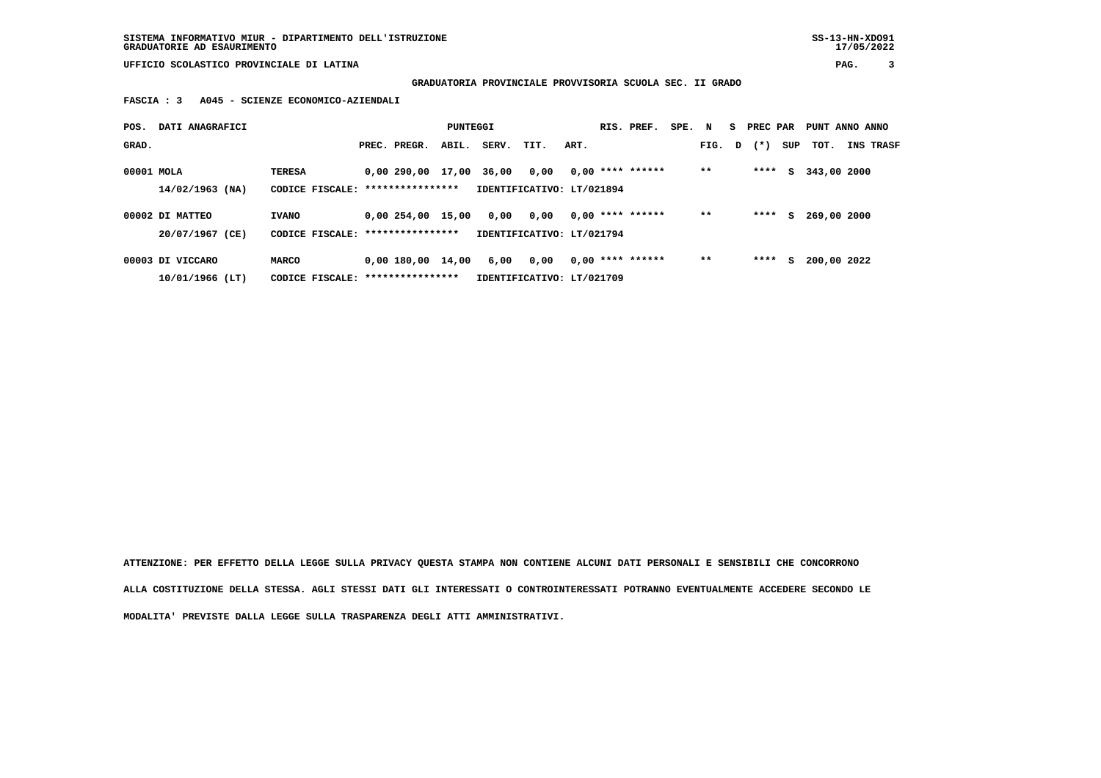**SISTEMA INFORMATIVO MIUR - DIPARTIMENTO DELL'ISTRUZIONE SS-13-HN-XDO91 GRADUATORIE AD ESAURIMENTO 17/05/2022**

 **UFFICIO SCOLASTICO PROVINCIALE DI LATINA PAG. 3**

 **GRADUATORIA PROVINCIALE PROVVISORIA SCUOLA SEC. II GRADO**

 **FASCIA : 3 A045 - SCIENZE ECONOMICO-AZIENDALI**

| POS.       | DATI ANAGRAFICI   |                                   |                   | PUNTEGGI |                           |                           |      | RIS. PREF.         | SPE. N |        | S PREC PAR |     | PUNT ANNO ANNO |                  |
|------------|-------------------|-----------------------------------|-------------------|----------|---------------------------|---------------------------|------|--------------------|--------|--------|------------|-----|----------------|------------------|
| GRAD.      |                   |                                   | PREC. PREGR.      | ABIL.    | SERV.                     | TIT.                      | ART. |                    |        | FIG. D | $(\star)$  | SUP | тот.           | <b>INS TRASF</b> |
| 00001 MOLA |                   | <b>TERESA</b>                     | 0,00 290,00 17,00 |          | 36,00                     | 0,00                      |      | $0,00$ **** ****** |        | $* *$  | ****       | s   | 343,00 2000    |                  |
|            | $14/02/1963$ (NA) | CODICE FISCALE: ****************  |                   |          | IDENTIFICATIVO: LT/021894 |                           |      |                    |        |        |            |     |                |                  |
|            | 00002 DI MATTEO   | <b>IVANO</b>                      | 0.00254.00        | 15,00    | 0,00                      | 0,00                      |      | $0.00$ **** ****** |        | $* *$  | ****       | s   | 269,00 2000    |                  |
|            | 20/07/1967 (CE)   | CODICE FISCALE: ***************** |                   |          | IDENTIFICATIVO: LT/021794 |                           |      |                    |        |        |            |     |                |                  |
|            | 00003 DI VICCARO  | <b>MARCO</b>                      | 0,00 180,00       | 14,00    | 6,00                      | 0,00                      |      | $0.00$ **** ****** |        | $* *$  | ****       | s   | 200,00 2022    |                  |
|            | $10/01/1966$ (LT) | CODICE FISCALE: ****************  |                   |          |                           | IDENTIFICATIVO: LT/021709 |      |                    |        |        |            |     |                |                  |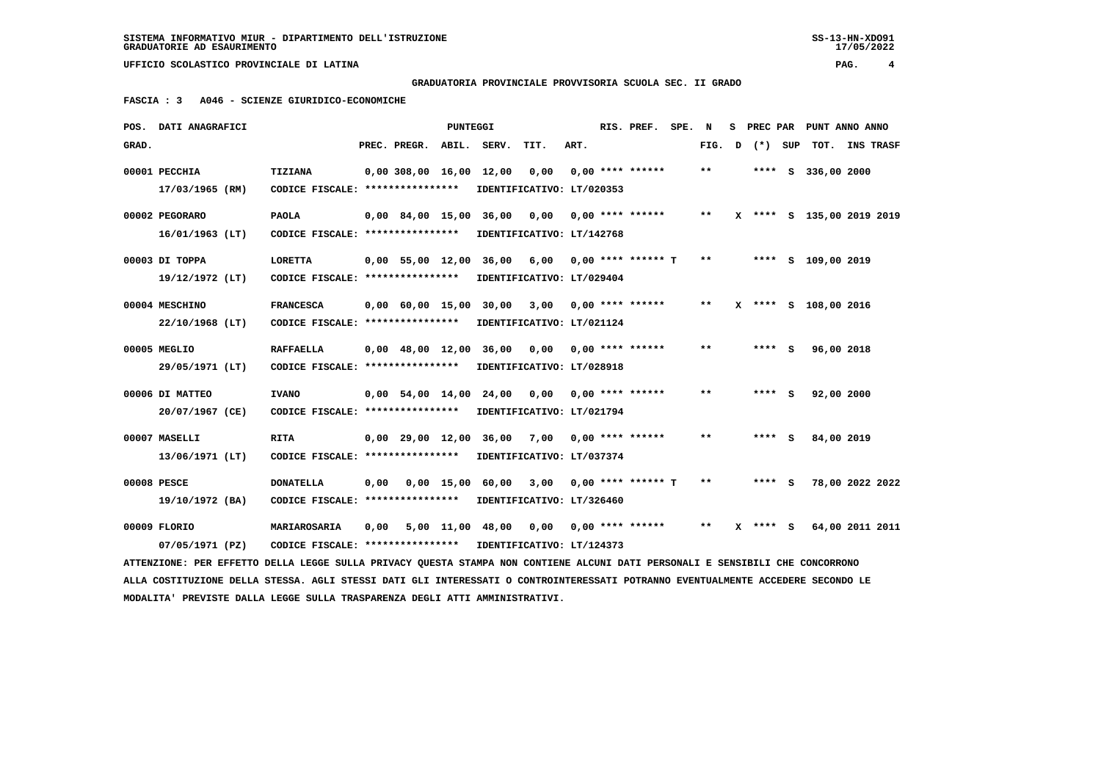## **GRADUATORIA PROVINCIALE PROVVISORIA SCUOLA SEC. II GRADO**

 **FASCIA : 3 A046 - SCIENZE GIURIDICO-ECONOMICHE**

|       | POS. DATI ANAGRAFICI                                                                                                            |                                                            |      |                                            | PUNTEGGI     |                  |                           |      | RIS. PREF.           | SPE. | N     | s |         | PREC PAR PUNT ANNO ANNO   |           |
|-------|---------------------------------------------------------------------------------------------------------------------------------|------------------------------------------------------------|------|--------------------------------------------|--------------|------------------|---------------------------|------|----------------------|------|-------|---|---------|---------------------------|-----------|
| GRAD. |                                                                                                                                 |                                                            |      | PREC. PREGR.                               | ABIL.        | SERV.            | TIT.                      | ART. |                      |      | FIG.  | D | (*) SUP | TOT.                      | INS TRASF |
|       | 00001 PECCHIA                                                                                                                   | TIZIANA                                                    |      | 0.00308.0016.00                            |              | 12,00            | 0,00                      |      | $0.00$ **** ******   |      | $***$ |   |         | **** S 336,00 2000        |           |
|       | 17/03/1965 (RM)                                                                                                                 | CODICE FISCALE: ****************                           |      |                                            |              |                  | IDENTIFICATIVO: LT/020353 |      |                      |      |       |   |         |                           |           |
|       | 00002 PEGORARO                                                                                                                  | <b>PAOLA</b>                                               |      | 0,00 84,00 15,00 36,00                     |              |                  | 0,00                      |      | $0.00$ **** ******   |      | $* *$ |   |         | X **** S 135,00 2019 2019 |           |
|       | $16/01/1963$ (LT)                                                                                                               | CODICE FISCALE: *****************                          |      |                                            |              |                  | IDENTIFICATIVO: LT/142768 |      |                      |      |       |   |         |                           |           |
|       |                                                                                                                                 |                                                            |      |                                            |              |                  |                           |      |                      |      |       |   |         |                           |           |
|       | 00003 DI TOPPA                                                                                                                  | <b>LORETTA</b>                                             |      | $0.00$ 55.00 12.00                         |              | 36,00            | 6,00                      |      | $0.00$ **** ****** T |      | $**$  |   |         | **** S 109,00 2019        |           |
|       | 19/12/1972 (LT)                                                                                                                 | CODICE FISCALE: ****************                           |      |                                            |              |                  | IDENTIFICATIVO: LT/029404 |      |                      |      |       |   |         |                           |           |
|       | 00004 MESCHINO                                                                                                                  | <b>FRANCESCA</b>                                           |      | 0,00 60,00 15,00 30,00                     |              |                  | $3,00$ 0,00 **** ******   |      |                      |      | $**$  |   |         | **** S 108,00 2016        |           |
|       | $22/10/1968$ (LT)                                                                                                               | CODICE FISCALE: ****************                           |      |                                            |              |                  | IDENTIFICATIVO: LT/021124 |      |                      |      |       |   |         |                           |           |
|       |                                                                                                                                 |                                                            |      |                                            |              |                  |                           |      |                      |      | $***$ |   |         |                           |           |
|       | 00005 MEGLIO                                                                                                                    | <b>RAFFAELLA</b>                                           |      | $0.00 \quad 48.00 \quad 12.00$             |              | 36,00            | 0,00                      |      | $0.00$ **** ******   |      |       |   | **** S  | 96,00 2018                |           |
|       | 29/05/1971 (LT)                                                                                                                 | CODICE FISCALE: ****************                           |      |                                            |              |                  | IDENTIFICATIVO: LT/028918 |      |                      |      |       |   |         |                           |           |
|       | 00006 DI MATTEO                                                                                                                 | <b>IVANO</b>                                               |      | 0,00 54,00 14,00                           |              | 24,00            | 0,00                      |      | $0,00$ **** ******   |      | $* *$ |   | **** S  | 92,00 2000                |           |
|       | 20/07/1967 (CE)                                                                                                                 | CODICE FISCALE: ****************                           |      |                                            |              |                  | IDENTIFICATIVO: LT/021794 |      |                      |      |       |   |         |                           |           |
|       | 00007 MASELLI                                                                                                                   | <b>RITA</b>                                                |      | $0.00 \quad 29.00 \quad 12.00 \quad 36.00$ |              |                  | 7,00                      |      | $0.00$ **** ******   |      | **    |   | **** S  | 84,00 2019                |           |
|       |                                                                                                                                 |                                                            |      |                                            |              |                  |                           |      |                      |      |       |   |         |                           |           |
|       | 13/06/1971 (LT)                                                                                                                 | CODICE FISCALE: ****************                           |      |                                            |              |                  | IDENTIFICATIVO: LT/037374 |      |                      |      |       |   |         |                           |           |
|       | 00008 PESCE                                                                                                                     | <b>DONATELLA</b>                                           | 0.00 |                                            | $0,00$ 15,00 | 60,00            | 3,00                      |      | $0.00$ **** ****** T |      | $* *$ |   | $***$ S | 78,00 2022 2022           |           |
|       | 19/10/1972 (BA)                                                                                                                 | CODICE FISCALE: ****************                           |      |                                            |              |                  | IDENTIFICATIVO: LT/326460 |      |                      |      |       |   |         |                           |           |
|       |                                                                                                                                 |                                                            |      |                                            |              |                  |                           |      |                      |      | $**$  |   |         |                           |           |
|       | 00009 FLORIO                                                                                                                    | MARIAROSARIA                                               | 0,00 |                                            |              | 5,00 11,00 48,00 | 0,00                      |      | $0,00$ **** ******   |      |       |   | **** S  | 64,00 2011 2011           |           |
|       | 07/05/1971 (PZ)                                                                                                                 | CODICE FISCALE: **************** IDENTIFICATIVO: LT/124373 |      |                                            |              |                  |                           |      |                      |      |       |   |         |                           |           |
|       | ATTENZIONE: PER EFFETTO DELLA LEGGE SULLA PRIVACY QUESTA STAMPA NON CONTIENE ALCUNI DATI PERSONALI E SENSIBILI CHE CONCORRONO   |                                                            |      |                                            |              |                  |                           |      |                      |      |       |   |         |                           |           |
|       | ALLA COSTITUZIONE DELLA STESSA. AGLI STESSI DATI GLI INTERESSATI O CONTROINTERESSATI POTRANNO EVENTUALMENTE ACCEDERE SECONDO LE |                                                            |      |                                            |              |                  |                           |      |                      |      |       |   |         |                           |           |
|       | MODALITA' PREVISTE DALLA LEGGE SULLA TRASPARENZA DEGLI ATTI AMMINISTRATIVI.                                                     |                                                            |      |                                            |              |                  |                           |      |                      |      |       |   |         |                           |           |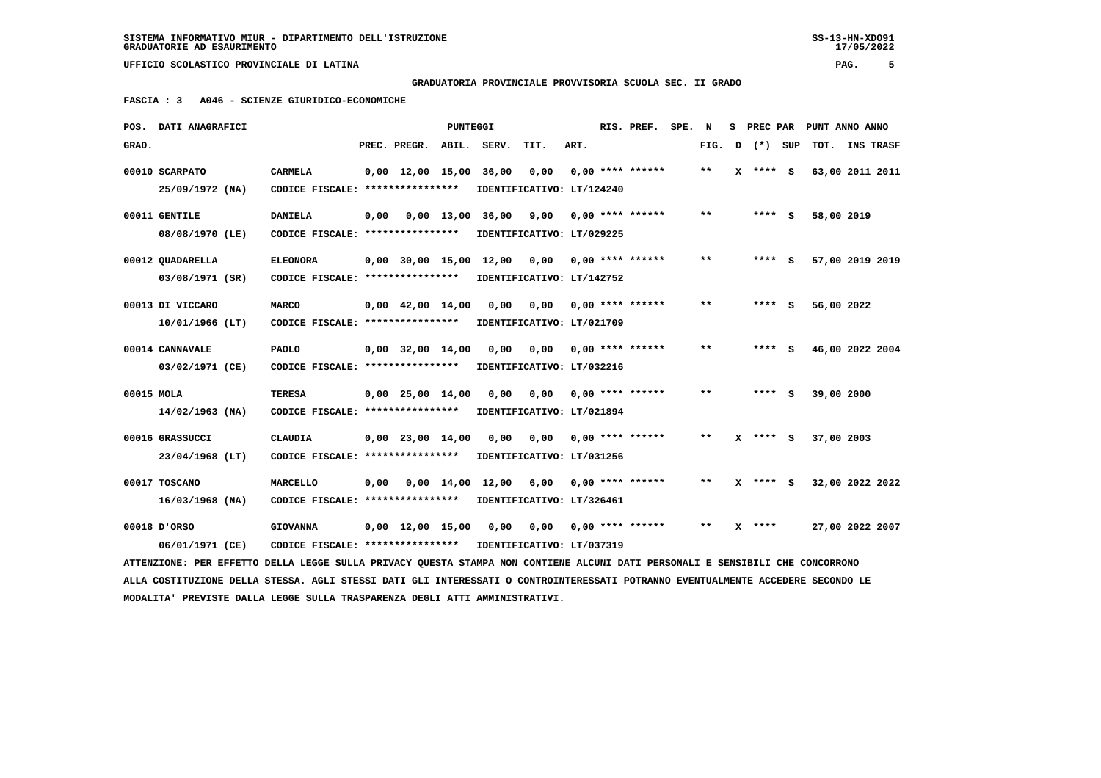## **GRADUATORIA PROVINCIALE PROVVISORIA SCUOLA SEC. II GRADO**

 **FASCIA : 3 A046 - SCIENZE GIURIDICO-ECONOMICHE**

|            | POS. DATI ANAGRAFICI                                                                                                            |                                                            |      |                                | <b>PUNTEGGI</b> |                           |      |      | RIS. PREF.         | SPE. | N     |   |          |     | S PREC PAR PUNT ANNO ANNO |  |
|------------|---------------------------------------------------------------------------------------------------------------------------------|------------------------------------------------------------|------|--------------------------------|-----------------|---------------------------|------|------|--------------------|------|-------|---|----------|-----|---------------------------|--|
| GRAD.      |                                                                                                                                 |                                                            |      | PREC. PREGR.                   | ABIL.           | SERV.                     | TIT. | ART. |                    |      | FIG.  | D | $(*)$    | SUP | TOT. INS TRASF            |  |
|            | 00010 SCARPATO                                                                                                                  | <b>CARMELA</b>                                             |      | $0,00$ 12,00 15,00             |                 | 36,00                     | 0,00 |      | $0.00$ **** ****** |      | $***$ |   | X **** S |     | 63,00 2011 2011           |  |
|            | 25/09/1972 (NA)                                                                                                                 | CODICE FISCALE: ****************                           |      |                                |                 | IDENTIFICATIVO: LT/124240 |      |      |                    |      |       |   |          |     |                           |  |
|            | 00011 GENTILE                                                                                                                   | <b>DANIELA</b>                                             | 0,00 |                                |                 | 0,00 13,00 36,00          | 9,00 |      | $0.00$ **** ****** |      | $* *$ |   | $***$ S  |     | 58,00 2019                |  |
|            | 08/08/1970 (LE)                                                                                                                 | CODICE FISCALE: ****************                           |      |                                |                 | IDENTIFICATIVO: LT/029225 |      |      |                    |      |       |   |          |     |                           |  |
|            | 00012 QUADARELLA                                                                                                                | <b>ELEONORA</b>                                            |      | 0,00 30,00 15,00               |                 | 12,00                     | 0,00 |      | $0.00$ **** ****** |      | $**$  |   | **** S   |     | 57,00 2019 2019           |  |
|            | 03/08/1971 (SR)                                                                                                                 | CODICE FISCALE: *****************                          |      |                                |                 | IDENTIFICATIVO: LT/142752 |      |      |                    |      |       |   |          |     |                           |  |
|            |                                                                                                                                 |                                                            |      |                                |                 |                           |      |      |                    |      |       |   |          |     |                           |  |
|            | 00013 DI VICCARO                                                                                                                | MARCO                                                      |      | $0,00 \quad 42,00 \quad 14,00$ |                 | 0,00                      | 0,00 |      | $0.00$ **** ****** |      | $**$  |   | **** S   |     | 56,00 2022                |  |
|            | $10/01/1966$ (LT)                                                                                                               | CODICE FISCALE: *****************                          |      |                                |                 | IDENTIFICATIVO: LT/021709 |      |      |                    |      |       |   |          |     |                           |  |
|            | 00014 CANNAVALE                                                                                                                 | <b>PAOLO</b>                                               |      | $0.00$ 32,00 14,00             |                 | 0.00                      | 0,00 |      | $0.00$ **** ****** |      | $* *$ |   | $***$ S  |     | 46,00 2022 2004           |  |
|            | 03/02/1971 (CE)                                                                                                                 | CODICE FISCALE: ****************                           |      |                                |                 | IDENTIFICATIVO: LT/032216 |      |      |                    |      |       |   |          |     |                           |  |
| 00015 MOLA |                                                                                                                                 | <b>TERESA</b>                                              |      | $0,00$ 25,00 14,00             |                 | 0,00                      | 0,00 |      | $0.00$ **** ****** |      | $* *$ |   | $***$ S  |     | 39,00 2000                |  |
|            | $14/02/1963$ (NA)                                                                                                               | CODICE FISCALE: ****************                           |      |                                |                 | IDENTIFICATIVO: LT/021894 |      |      |                    |      |       |   |          |     |                           |  |
|            |                                                                                                                                 |                                                            |      |                                |                 |                           |      |      |                    |      |       |   |          |     |                           |  |
|            | 00016 GRASSUCCI                                                                                                                 | <b>CLAUDIA</b>                                             |      | $0.00$ 23.00 14.00             |                 | 0,00                      | 0,00 |      | $0.00$ **** ****** |      | $* *$ | x | **** S   |     | 37,00 2003                |  |
|            | 23/04/1968 (LT)                                                                                                                 | CODICE FISCALE: *****************                          |      |                                |                 | IDENTIFICATIVO: LT/031256 |      |      |                    |      |       |   |          |     |                           |  |
|            | 00017 TOSCANO                                                                                                                   | <b>MARCELLO</b>                                            |      |                                |                 | 0,00 0,00 14,00 12,00     | 6,00 |      | $0.00$ **** ****** |      | **    |   | X **** S |     | 32,00 2022 2022           |  |
|            | $16/03/1968$ (NA)                                                                                                               | CODICE FISCALE: ****************                           |      |                                |                 | IDENTIFICATIVO: LT/326461 |      |      |                    |      |       |   |          |     |                           |  |
|            |                                                                                                                                 |                                                            |      |                                |                 |                           |      |      |                    |      |       |   |          |     |                           |  |
|            | 00018 D'ORSO                                                                                                                    | <b>GIOVANNA</b>                                            |      | $0,00$ 12,00 15,00 0,00        |                 |                           | 0,00 |      | $0.00$ **** ****** |      | $**$  |   | $X$ **** |     | 27,00 2022 2007           |  |
|            | 06/01/1971 (CE)                                                                                                                 | CODICE FISCALE: **************** IDENTIFICATIVO: LT/037319 |      |                                |                 |                           |      |      |                    |      |       |   |          |     |                           |  |
|            | ATTENZIONE: PER EFFETTO DELLA LEGGE SULLA PRIVACY QUESTA STAMPA NON CONTIENE ALCUNI DATI PERSONALI E SENSIBILI CHE CONCORRONO   |                                                            |      |                                |                 |                           |      |      |                    |      |       |   |          |     |                           |  |
|            | ALLA COSTITUZIONE DELLA STESSA. AGLI STESSI DATI GLI INTERESSATI O CONTROINTERESSATI POTRANNO EVENTUALMENTE ACCEDERE SECONDO LE |                                                            |      |                                |                 |                           |      |      |                    |      |       |   |          |     |                           |  |
|            | MODALITA' PREVISTE DALLA LEGGE SULLA TRASPARENZA DEGLI ATTI AMMINISTRATIVI.                                                     |                                                            |      |                                |                 |                           |      |      |                    |      |       |   |          |     |                           |  |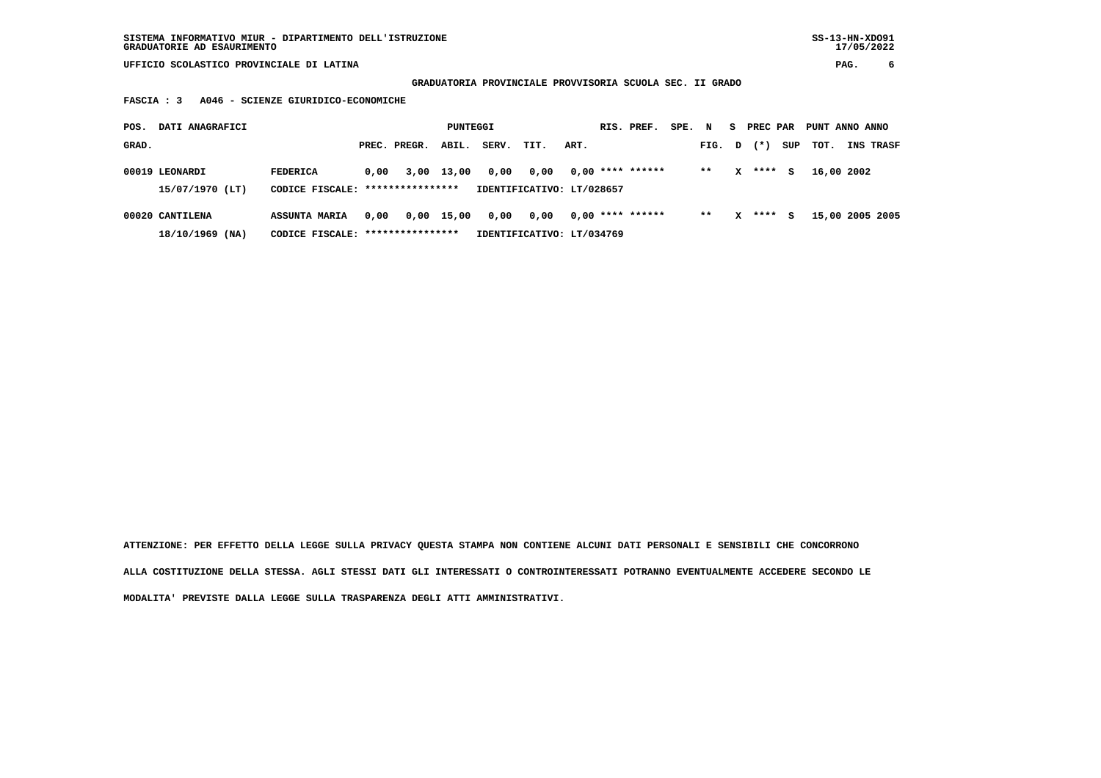## **GRADUATORIA PROVINCIALE PROVVISORIA SCUOLA SEC. II GRADO**

 **FASCIA : 3 A046 - SCIENZE GIURIDICO-ECONOMICHE**

| DATI ANAGRAFICI<br>POS.              |                                                          |      |              | PUNTEGGI   |       |                                   |      | RIS. PREF.         | SPE. | $\mathbf N$ | s. | PREC PAR |     | PUNT ANNO ANNO |                 |
|--------------------------------------|----------------------------------------------------------|------|--------------|------------|-------|-----------------------------------|------|--------------------|------|-------------|----|----------|-----|----------------|-----------------|
| GRAD.                                |                                                          |      | PREC. PREGR. | ABIL.      | SERV. | TIT.                              | ART. |                    |      | FIG. D      |    | $(* )$   | SUP | тот.           | INS TRASF       |
| 00019 LEONARDI<br>15/07/1970 (LT)    | <b>FEDERICA</b><br>CODICE FISCALE: *****************     | 0,00 |              | 3,00 13,00 | 0,00  | 0,00<br>IDENTIFICATIVO: LT/028657 |      | $0.00$ **** ****** |      | $* *$       | x  | ****     | s   | 16,00 2002     |                 |
| 00020 CANTILENA<br>$18/10/1969$ (NA) | <b>ASSUNTA MARIA</b><br>CODICE FISCALE: **************** | 0.00 |              | 0,00 15,00 | 0,00  | 0,00<br>IDENTIFICATIVO: LT/034769 |      | $0.00$ **** ****** |      | $* *$       | x  | ****     | s   |                | 15,00 2005 2005 |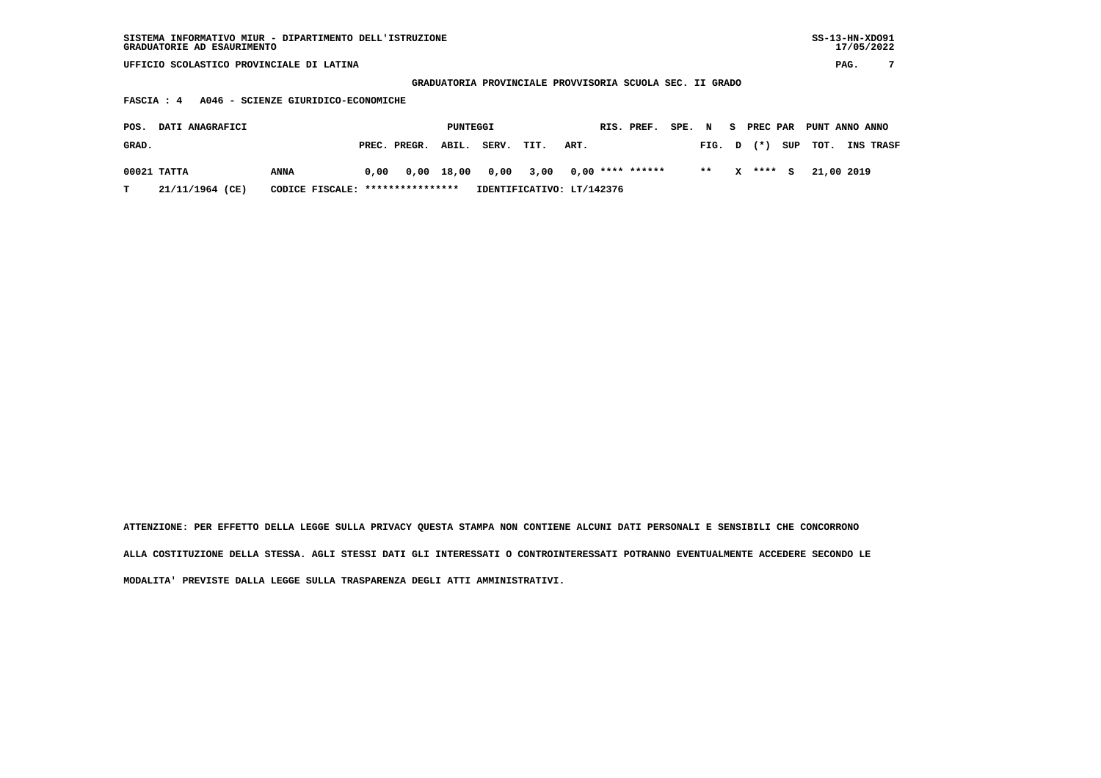| SISTEMA INFORMATIVO MIUR - DIPARTIMENTO DELL'ISTRUZIONE | $SS-13-HN-XDO91$ |
|---------------------------------------------------------|------------------|
| GRADUATORIE AD ESAURIMENTO                              | 17/05/2022       |

 **GRADUATORIA PROVINCIALE PROVVISORIA SCUOLA SEC. II GRADO**

 **FASCIA : 4 A046 - SCIENZE GIURIDICO-ECONOMICHE**

| POS.  | <b>DATI ANAGRAFICI</b> |                                  |      |                    | PUNTEGGI |                                       |                           |      | RIS. PREF. | SPE. N |        | - S | <b>PREC PAR</b> |         | PUNT ANNO ANNO |                  |
|-------|------------------------|----------------------------------|------|--------------------|----------|---------------------------------------|---------------------------|------|------------|--------|--------|-----|-----------------|---------|----------------|------------------|
| GRAD. |                        |                                  |      | PREC. PREGR. ABIL. |          | SERV.                                 | TIT.                      | ART. |            |        | FIG. D |     | $(*)$           | SUP     | тот.           | <b>INS TRASF</b> |
|       | 00021 TATTA            | <b>ANNA</b>                      | 0.00 |                    |          | 0,00 18,00 0,00 3,00 0,00 **** ****** |                           |      |            |        | $***$  | x   |                 | $***$ S | 21,00 2019     |                  |
| T.    | 21/11/1964 (CE)        | CODICE FISCALE: **************** |      |                    |          |                                       | IDENTIFICATIVO: LT/142376 |      |            |        |        |     |                 |         |                |                  |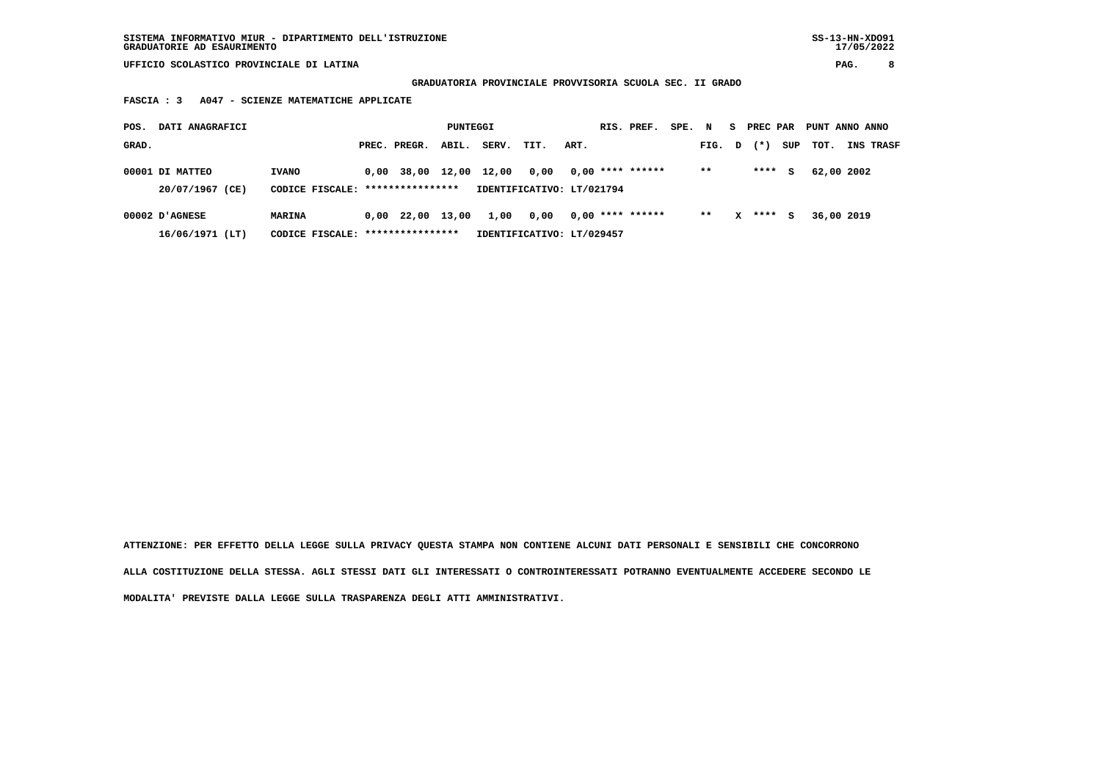## **GRADUATORIA PROVINCIALE PROVVISORIA SCUOLA SEC. II GRADO**

 **FASCIA : 3 A047 - SCIENZE MATEMATICHE APPLICATE**

| POS.  | DATI ANAGRAFICI   |                                   |                                  | PUNTEGGI |       |                           |      | RIS. PREF.         | SPE. | N     | s. | PREC PAR |     | PUNT ANNO ANNO |                  |
|-------|-------------------|-----------------------------------|----------------------------------|----------|-------|---------------------------|------|--------------------|------|-------|----|----------|-----|----------------|------------------|
| GRAD. |                   |                                   | PREC. PREGR.                     | ABIL.    | SERV. | TIT.                      | ART. |                    |      | FIG.  | D  | $(* )$   | SUP | тот.           | <b>INS TRASF</b> |
|       | 00001 DI MATTEO   | <b>IVANO</b>                      | $0.00$ 38,00<br>**************** | 12,00    | 12,00 | 0.00                      |      | $0,00$ **** ****** |      | $* *$ |    | ****     | s   | 62,00 2002     |                  |
|       | 20/07/1967 (CE)   | CODICE FISCALE:                   |                                  |          |       | IDENTIFICATIVO: LT/021794 |      |                    |      |       |    |          |     |                |                  |
|       | $00002$ D'AGNESE  | MARINA                            | $0,00$ 22,00 13,00               |          | 1,00  | 0,00                      |      | $0.00$ **** ****** |      | $**$  | x  | ****     | s   | 36,00 2019     |                  |
|       | $16/06/1971$ (LT) | CODICE FISCALE: ***************** |                                  |          |       | IDENTIFICATIVO: LT/029457 |      |                    |      |       |    |          |     |                |                  |